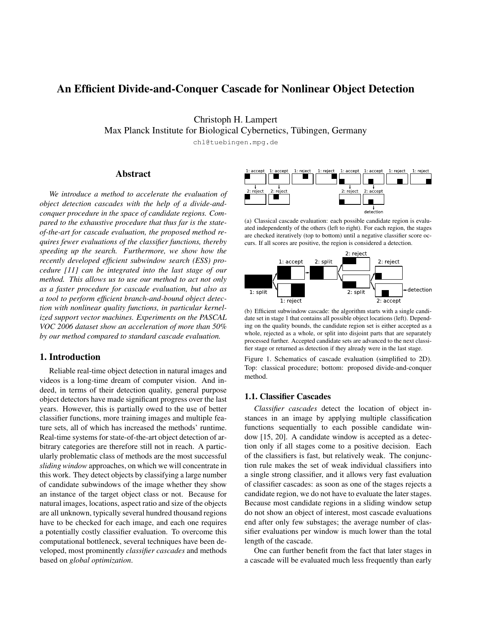# An Efficient Divide-and-Conquer Cascade for Nonlinear Object Detection

Christoph H. Lampert

Max Planck Institute for Biological Cybernetics, Tübingen, Germany

chl@tuebingen.mpg.de

# Abstract

*We introduce a method to accelerate the evaluation of object detection cascades with the help of a divide-andconquer procedure in the space of candidate regions. Compared to the exhaustive procedure that thus far is the stateof-the-art for cascade evaluation, the proposed method requires fewer evaluations of the classifier functions, thereby speeding up the search. Furthermore, we show how the recently developed efficient subwindow search (ESS) procedure [11] can be integrated into the last stage of our method. This allows us to use our method to act not only as a faster procedure for cascade evaluation, but also as a tool to perform efficient branch-and-bound object detection with nonlinear quality functions, in particular kernelized support vector machines. Experiments on the PASCAL VOC 2006 dataset show an acceleration of more than 50% by our method compared to standard cascade evaluation.*

## 1. Introduction

Reliable real-time object detection in natural images and videos is a long-time dream of computer vision. And indeed, in terms of their detection quality, general purpose object detectors have made significant progress over the last years. However, this is partially owed to the use of better classifier functions, more training images and multiple feature sets, all of which has increased the methods' runtime. Real-time systems for state-of-the-art object detection of arbitrary categories are therefore still not in reach. A particularly problematic class of methods are the most successful *sliding window* approaches, on which we will concentrate in this work. They detect objects by classifying a large number of candidate subwindows of the image whether they show an instance of the target object class or not. Because for natural images, locations, aspect ratio and size of the objects are all unknown, typically several hundred thousand regions have to be checked for each image, and each one requires a potentially costly classifier evaluation. To overcome this computational bottleneck, several techniques have been developed, most prominently *classifier cascades* and methods based on *global optimization*.



(a) Classical cascade evaluation: each possible candidate region is evaluated independently of the others (left to right). For each region, the stages are checked iteratively (top to bottom) until a negative classifier score occurs. If all scores are positive, the region is considered a detection.



(b) Efficient subwindow cascade: the algorithm starts with a single candidate set in stage 1 that contains all possible object locations (left). Depending on the quality bounds, the candidate region set is either accepted as a whole, rejected as a whole, or split into disjoint parts that are separately processed further. Accepted candidate sets are advanced to the next classifier stage or returned as detection if they already were in the last stage.

Figure 1. Schematics of cascade evaluation (simplified to 2D). Top: classical procedure; bottom: proposed divide-and-conquer method.

#### 1.1. Classifier Cascades

*Classifier cascades* detect the location of object instances in an image by applying multiple classification functions sequentially to each possible candidate window [15, 20]. A candidate window is accepted as a detection only if all stages come to a positive decision. Each of the classifiers is fast, but relatively weak. The conjunction rule makes the set of weak individual classifiers into a single strong classifier, and it allows very fast evaluation of classifier cascades: as soon as one of the stages rejects a candidate region, we do not have to evaluate the later stages. Because most candidate regions in a sliding window setup do not show an object of interest, most cascade evaluations end after only few substages; the average number of classifier evaluations per window is much lower than the total length of the cascade.

One can further benefit from the fact that later stages in a cascade will be evaluated much less frequently than early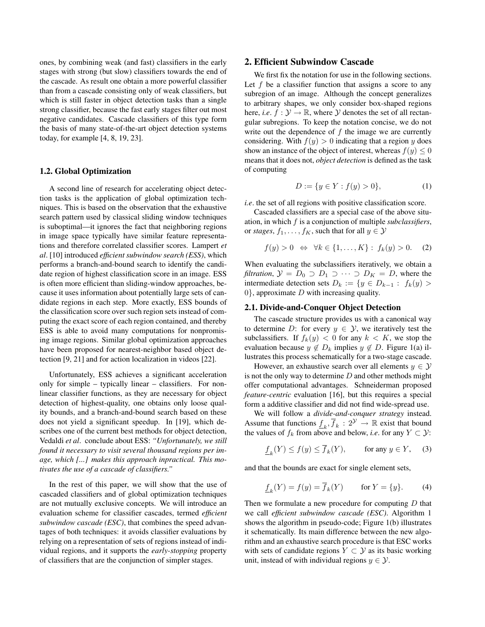ones, by combining weak (and fast) classifiers in the early stages with strong (but slow) classifiers towards the end of the cascade. As result one obtain a more powerful classifier than from a cascade consisting only of weak classifiers, but which is still faster in object detection tasks than a single strong classifier, because the fast early stages filter out most negative candidates. Cascade classifiers of this type form the basis of many state-of-the-art object detection systems today, for example [4, 8, 19, 23].

## 1.2. Global Optimization

A second line of research for accelerating object detection tasks is the application of global optimization techniques. This is based on the observation that the exhaustive search pattern used by classical sliding window techniques is suboptimal—it ignores the fact that neighboring regions in image space typically have similar feature representations and therefore correlated classifier scores. Lampert *et al*. [10] introduced *efficient subwindow search (ESS)*, which performs a branch-and-bound search to identify the candidate region of highest classification score in an image. ESS is often more efficient than sliding-window approaches, because it uses information about potentially large sets of candidate regions in each step. More exactly, ESS bounds of the classification score over such region sets instead of computing the exact score of each region contained, and thereby ESS is able to avoid many computations for nonpromising image regions. Similar global optimization approaches have been proposed for nearest-neighbor based object detection [9, 21] and for action localization in videos [22].

Unfortunately, ESS achieves a significant acceleration only for simple – typically linear – classifiers. For nonlinear classifier functions, as they are necessary for object detection of highest-quality, one obtains only loose quality bounds, and a branch-and-bound search based on these does not yield a significant speedup. In [19], which describes one of the current best methods for object detection, Vedaldi *et al*. conclude about ESS: *"Unfortunately, we still found it necessary to visit several thousand regions per image, which [...] makes this approach inpractical. This motivates the use of a cascade of classifiers."*

In the rest of this paper, we will show that the use of cascaded classifiers and of global optimization techniques are not mutually exclusive concepts. We will introduce an evaluation scheme for classifier cascades, termed *efficient subwindow cascade (ESC)*, that combines the speed advantages of both techniques: it avoids classifier evaluations by relying on a representation of sets of regions instead of individual regions, and it supports the *early-stopping* property of classifiers that are the conjunction of simpler stages.

## 2. Efficient Subwindow Cascade

We first fix the notation for use in the following sections. Let  $f$  be a classifier function that assigns a score to any subregion of an image. Although the concept generalizes to arbitrary shapes, we only consider box-shaped regions here, *i.e.*  $f: \mathcal{Y} \to \mathbb{R}$ , where  $\mathcal{Y}$  denotes the set of all rectangular subregions. To keep the notation concise, we do not write out the dependence of  $f$  the image we are currently considering. With  $f(y) > 0$  indicating that a region y does show an instance of the object of interest, whereas  $f(y) \leq 0$ means that it does not, *object detection* is defined as the task of computing

$$
D := \{ y \in Y : f(y) > 0 \},\tag{1}
$$

*i.e*. the set of all regions with positive classification score.

Cascaded classifiers are a special case of the above situation, in which f is a conjunction of multiple *subclassifiers*, or *stages*,  $f_1, \ldots, f_K$ , such that for all  $y \in \mathcal{Y}$ 

$$
f(y) > 0 \Leftrightarrow \forall k \in \{1, \dots, K\} : f_k(y) > 0. \tag{2}
$$

When evaluating the subclassifiers iteratively, we obtain a *filtration*,  $\mathcal{Y} = D_0 \supset D_1 \supset \cdots \supset D_K = D$ , where the intermediate detection sets  $D_k := \{y \in D_{k-1} : f_k(y) >$  $0\}$ , approximate D with increasing quality.

#### 2.1. Divide-and-Conquer Object Detection

The cascade structure provides us with a canonical way to determine D: for every  $y \in \mathcal{Y}$ , we iteratively test the subclassifiers. If  $f_k(y) < 0$  for any  $k < K$ , we stop the evaluation because  $y \notin D_k$  implies  $y \notin D$ . Figure 1(a) illustrates this process schematically for a two-stage cascade.

However, an exhaustive search over all elements  $y \in \mathcal{Y}$ is not the only way to determine  $D$  and other methods might offer computational advantages. Schneiderman proposed *feature-centric* evaluation [16], but this requires a special form a additive classifier and did not find wide-spread use.

We will follow a *divide-and-conquer strategy* instead. Assume that functions  $\underline{f}_k$ ,  $\overline{f}_k$  :  $2^{\mathcal{Y}} \rightarrow \mathbb{R}$  exist that bound the values of  $f_k$  from above and below, *i.e.* for any  $Y \subset \mathcal{Y}$ :

$$
\underline{f}_k(Y) \le f(y) \le \overline{f}_k(Y), \qquad \text{for any } y \in Y, \quad (3)
$$

and that the bounds are exact for single element sets,

$$
\underline{f}_k(Y) = f(y) = \overline{f}_k(Y) \quad \text{for } Y = \{y\}. \tag{4}
$$

Then we formulate a new procedure for computing  $D$  that we call *efficient subwindow cascade (ESC)*. Algorithm 1 shows the algorithm in pseudo-code; Figure 1(b) illustrates it schematically. Its main difference between the new algorithm and an exhaustive search procedure is that ESC works with sets of candidate regions  $Y \subset Y$  as its basic working unit, instead of with individual regions  $y \in \mathcal{Y}$ .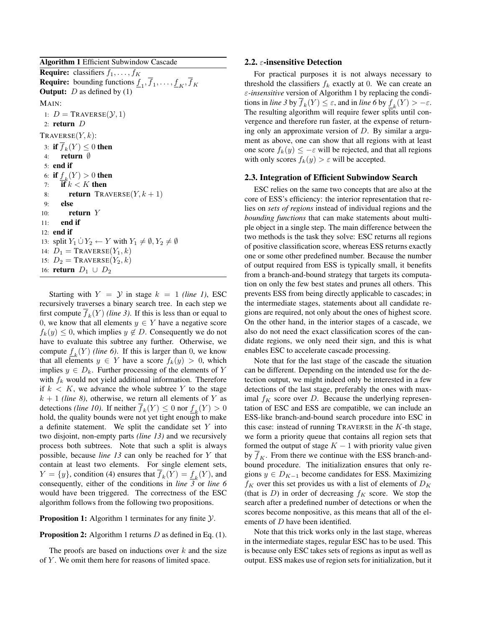Algorithm 1 Efficient Subwindow Cascade

**Require:** classifiers  $f_1, \ldots, f_K$ **Require:** bounding functions  $\underline{f}_1, f_1, \dots, \underline{f}_K, f_K$ **Output:**  $D$  as defined by (1) MAIN: 1:  $D = \text{TRAVERSE}(\mathcal{Y}, 1)$ 2: return D  $extbf{TRAVERSE}(Y, k)$ : 3: if  $\overline{f}_k(Y) \leq 0$  then 4: return ∅ 5: end if 6: **if**  $f_{\mu}(Y) > 0$  then  $\frac{1}{2}k^{(1)} \leq 0$  in  $\frac{1}{2}k < K$  then 8: **return**  $\text{TRAVERSE}(Y, k+1)$ 9: else 10:  $r$ **return**  $Y$ 11: end if 12: end if 13: split  $Y_1 \cup Y_2 \leftarrow Y$  with  $Y_1 \neq \emptyset, Y_2 \neq \emptyset$ 14:  $D_1 = \text{TRAVERSE}(Y_1, k)$ 15:  $D_2 = \text{TRAVERSE}(Y_2, k)$ 16: **return**  $D_1 \cup D_2$ 

Starting with  $Y = Y$  in stage  $k = 1$  *(line 1)*, ESC recursively traverses a binary search tree. In each step we first compute  $f_k(Y)$  *(line 3)*. If this is less than or equal to 0, we know that all elements  $y \in Y$  have a negative score  $f_k(y) \leq 0$ , which implies  $y \notin D$ . Consequently we do not have to evaluate this subtree any further. Otherwise, we compute  $f_k(Y)$  *(line 6)*. If this is larger than 0, we know that all elements  $y \in Y$  have a score  $f_k(y) > 0$ , which implies  $y \in D_k$ . Further processing of the elements of Y with  $f_k$  would not yield additional information. Therefore if  $k < K$ , we advance the whole subtree Y to the stage  $k + 1$  *(line 8)*, otherwise, we return all elements of Y as detections *(line 10)*. If neither  $f_k(Y) \le 0$  nor  $\underline{f}_k(Y) > 0$ hold, the quality bounds were not yet tight enough to make a definite statement. We split the candidate set  $Y$  into two disjoint, non-empty parts *(line 13)* and we recursively process both subtrees. Note that such a split is always possible, because *line 13* can only be reached for Y that contain at least two elements. For single element sets,  $Y = \{y\}$ , condition (4) ensures that  $\overline{f}_k(Y) = \underline{f}_k(Y)$ , and consequently, either of the conditions in *line 3* or *line 6* would have been triggered. The correctness of the ESC algorithm follows from the following two propositions.

**Proposition 1:** Algorithm 1 terminates for any finite  $\mathcal{Y}$ .

## **Proposition 2:** Algorithm 1 returns  $D$  as defined in Eq. (1).

The proofs are based on inductions over  $k$  and the size of Y . We omit them here for reasons of limited space.

#### 2.2.  $\varepsilon$ -insensitive Detection

For practical purposes it is not always necessary to threshold the classifiers  $f_k$  exactly at 0. We can create an ε*-insensitive* version of Algorithm 1 by replacing the conditions in *line 3* by  $f_k(Y) \leq \varepsilon$ , and in *line 6* by  $\underline{f}_k(Y) > -\varepsilon$ . The resulting algorithm will require fewer splits until convergence and therefore run faster, at the expense of returning only an approximate version of  $D$ . By similar a argument as above, one can show that all regions with at least one score  $f_k(y) \leq -\varepsilon$  will be rejected, and that all regions with only scores  $f_k(y) > \varepsilon$  will be accepted.

## 2.3. Integration of Efficient Subwindow Search

ESC relies on the same two concepts that are also at the core of ESS's efficiency: the interior representation that relies on *sets of regions* instead of individual regions and the *bounding functions* that can make statements about multiple object in a single step. The main difference between the two methods is the task they solve: ESC returns all regions of positive classification score, whereas ESS returns exactly one or some other predefined number. Because the number of output required from ESS is typically small, it benefits from a branch-and-bound strategy that targets its computation on only the few best states and prunes all others. This prevents ESS from being directly applicable to cascades; in the intermediate stages, statements about all candidate regions are required, not only about the ones of highest score. On the other hand, in the interior stages of a cascade, we also do not need the exact classification scores of the candidate regions, we only need their sign, and this is what enables ESC to accelerate cascade processing.

Note that for the last stage of the cascade the situation can be different. Depending on the intended use for the detection output, we might indeed only be interested in a few detections of the last stage, preferably the ones with maximal  $f_K$  score over D. Because the underlying representation of ESC and ESS are compatible, we can include an ESS-like branch-and-bound search procedure into ESC in this case: instead of running TRAVERSE in the  $K$ -th stage, we form a priority queue that contains all region sets that formed the output of stage  $K - 1$  with priority value given by  $f_K$ . From there we continue with the ESS branch-andbound procedure. The initialization ensures that only regions  $y \in D_{K-1}$  become candidates for ESS. Maximizing  $f_K$  over this set provides us with a list of elements of  $D_K$ (that is D) in order of decreasing  $f_K$  score. We stop the search after a predefined number of detections or when the scores become nonpositive, as this means that all of the elements of *D* have been identified.

Note that this trick works only in the last stage, whereas in the intermediate stages, regular ESC has to be used. This is because only ESC takes sets of regions as input as well as output. ESS makes use of region sets for initialization, but it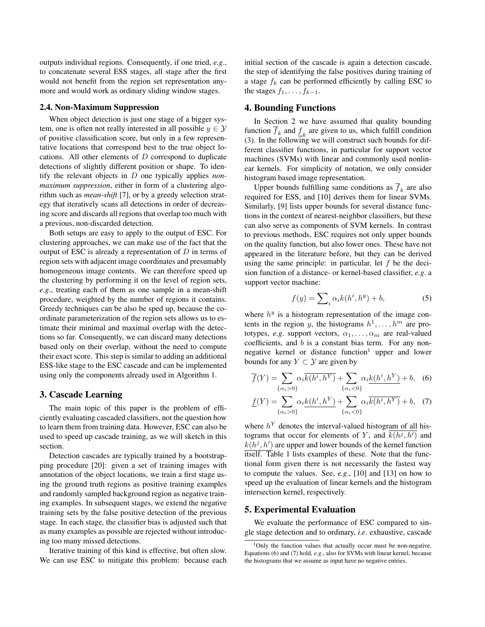outputs individual regions. Consequently, if one tried, *e.g*., to concatenate several ESS stages, all stage after the first would not benefit from the region set representation anymore and would work as ordinary sliding window stages.

### 2.4. Non-Maximum Suppression

When object detection is just one stage of a bigger system, one is often not really interested in all possible  $y \in \mathcal{Y}$ of positive classification score, but only in a few representative locations that correspond best to the true object locations. All other elements of  $D$  correspond to duplicate detections of slightly different position or shape. To identify the relevant objects in D one typically applies *nonmaximum suppression*, either in form of a clustering algorithm such as *mean-shift* [7], or by a greedy selection strategy that iteratively scans all detections in order of decreasing score and discards all regions that overlap too much with a previous, non-discarded detection.

Both setups are easy to apply to the output of ESC. For clustering approaches, we can make use of the fact that the output of ESC is already a representation of  $D$  in terms of region sets with adjacent image coordinates and presumably homogeneous image contents. We can therefore speed up the clustering by performing it on the level of region sets, *e.g*., treating each of them as one sample in a mean-shift procedure, weighted by the number of regions it contains. Greedy techniques can be also be sped up, because the coordinate parameterization of the region sets allows us to estimate their minimal and maximal overlap with the detections so far. Consequently, we can discard many detections based only on their overlap, without the need to compute their exact score. This step is similar to adding an additional ESS-like stage to the ESC cascade and can be implemented using only the components already used in Algorithm 1.

## 3. Cascade Learning

The main topic of this paper is the problem of efficiently evaluating cascaded classifiers, not the question how to learn them from training data. However, ESC can also be used to speed up cascade training, as we will sketch in this section.

Detection cascades are typically trained by a bootstrapping procedure [20]: given a set of training images with annotation of the object locations, we train a first stage using the ground truth regions as positive training examples and randomly sampled background region as negative training examples. In subsequent stages, we extend the negative training sets by the false positive detection of the previous stage. In each stage, the classifier bias is adjusted such that as many examples as possible are rejected without introducing too many missed detections.

Iterative training of this kind is effective, but often slow. We can use ESC to mitigate this problem: because each initial section of the cascade is again a detection cascade, the step of identifying the false positives during training of a stage  $f_k$  can be performed efficiently by calling ESC to the stages  $f_1, \ldots, f_{k-1}$ .

# 4. Bounding Functions

In Section 2 we have assumed that quality bounding function  $f_k$  and  $f_k$  are given to us, which fulfill condition (3). In the following we will construct such bounds for different classifier functions, in particular for support vector machines (SVMs) with linear and commonly used nonlinear kernels. For simplicity of notation, we only consider histogram based image representation.

Upper bounds fulfilling same conditions as  $f_k$  are also required for ESS, and [10] derives them for linear SVMs. Similarly, [9] lists upper bounds for several distance functions in the context of nearest-neighbor classifiers, but these can also serve as components of SVM kernels. In contrast to previous methods, ESC requires not only upper bounds on the quality function, but also lower ones. These have not appeared in the literature before, but they can be derived using the same principle: in particular, let  $f$  be the decision function of a distance- or kernel-based classifier, *e.g*. a support vector machine:

$$
f(y) = \sum_{i} \alpha_i k(h^i, h^y) + b,\tag{5}
$$

where  $h<sup>y</sup>$  is a histogram representation of the image contents in the region y, the histograms  $h^1, \ldots, h^m$  are prototypes, *e.g.* support vectors,  $\alpha_1, \ldots, \alpha_m$  are real-valued coefficients, and  $b$  is a constant bias term. For any nonnegative kernel or distance function<sup>1</sup> upper and lower bounds for any  $Y \subset \mathcal{Y}$  are given by

$$
\overline{f}(Y) = \sum_{\{\alpha_i > 0\}} \alpha_i \overline{k(h^i, h^Y)} + \sum_{\{\alpha_i < 0\}} \alpha_i \underline{k(h^i, h^Y)} + b,\quad (6)
$$

$$
\underline{f}(Y) = \sum_{\{\alpha_i > 0\}} \alpha_i \underline{k(h^i, h^Y)} + \sum_{\{\alpha_i < 0\}} \alpha_i \overline{k(h^i, h^Y)} + b,\quad (7)
$$

where  $h<sup>Y</sup>$  denotes the interval-valued histogram of all histograms that occur for elements of Y, and  $k(h^j, h')$  and  $k(h^j, h')$  are upper and lower bounds of the kernel function itself. Table 1 lists examples of these. Note that the functional form given there is not necessarily the fastest way to compute the values. See, *e.g*., [10] and [13] on how to speed up the evaluation of linear kernels and the histogram intersection kernel, respectively.

## 5. Experimental Evaluation

We evaluate the performance of ESC compared to single stage detection and to ordinary, *i.e*. exhaustive, cascade

<sup>&</sup>lt;sup>1</sup>Only the function values that actually occur must be non-negative. Equations (6) and (7) hold, *e.g*., also for SVMs with linear kernel, because the histograms that we assume as input have no negative entries.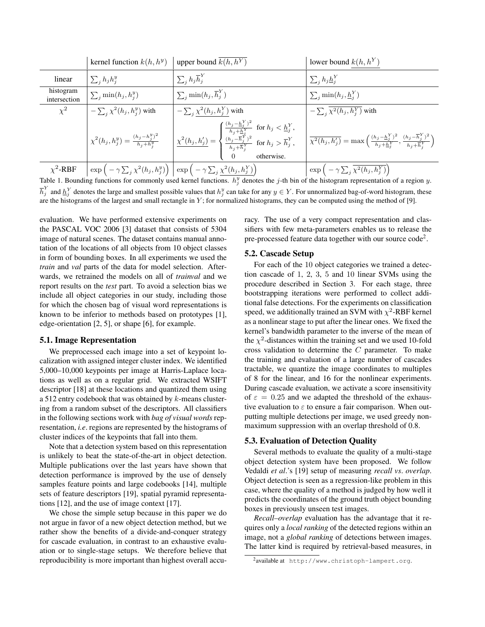|                           | kernel function $k(h, h^y)$                                | upper bound $k(h, h^Y)$                                                                                                                                                                                                                                                                           | lower bound $k(h, h^Y)$                                                                                                                       |
|---------------------------|------------------------------------------------------------|---------------------------------------------------------------------------------------------------------------------------------------------------------------------------------------------------------------------------------------------------------------------------------------------------|-----------------------------------------------------------------------------------------------------------------------------------------------|
| linear                    | $\sum_i h_j h_j^y$                                         | $\sum_{i} h_i \overline{h}_i^Y$                                                                                                                                                                                                                                                                   | $\sum_i h_j \underline{h}_i^Y$                                                                                                                |
| histogram<br>intersection | $\sum_i \min(h_j, h_j^y)$                                  | $\sum_i \min(h_j, \overline{h}_j^Y)$                                                                                                                                                                                                                                                              | $\sum_i \min(h_j, h_i^Y)$                                                                                                                     |
| $\chi^2$                  | $-\sum_i \chi^2(h_j, h_j^y)$ with                          | $-\sum_{i} \chi^{2}(h_{j}, h_{j}^{Y})$ with                                                                                                                                                                                                                                                       | $-\sum_{i} \chi^{2}(\overline{h_{j},h_{i}^{Y}})$ with                                                                                         |
|                           | $\chi^2(h_j, h_j^y) = \frac{(h_j - h_j^y)^2}{h_j + h_j^y}$ | $\boxed{\underline{\chi^2(h_j,h_j^\prime)=}\begin{cases} \frac{(h_j-\underline{h}_j^Y)^2}{h_j+\underline{h}_j^Y} \ \ \text{for} \ h_j<\underline{h}_j^Y,\\ \frac{(h_j-\overline{h}_j^Y)^2}{h_j+\overline{h}_j^Y} \ \ \text{for} \ h_j>\overline{h}_j^Y,\\ 0 \ \ \ \text{otherwise}. \end{cases}}$ | $\sqrt{\chi^2(h_j, h'_j)} = \max\left(\frac{(h_j - h_j^Y)^2}{h_j + h_j^Y}, \frac{(h_j - \overline{h}_j^Y)^2}{h_j + \overline{h}_j^Y}\right).$ |
| $\chi^2$ -RBF             |                                                            | $\exp\left(-\gamma\sum_j \chi^2(h_j,h_j^y)\right) \exp\left(-\gamma\sum_j \chi^2(h_j,h_j^Y)\right)$                                                                                                                                                                                               | $\exp\left(-\gamma\sum_j \chi^2(h_j,h_j^Y)\right)$                                                                                            |

Table 1. Bounding functions for commonly used kernel functions.  $h_j^y$  denotes the j-th bin of the histogram representation of a region y.  $\overline{h}_j^Y$  and  $\underline{h}_j^Y$  denotes the large and smallest possible values that  $h_j^y$  can take for any  $y \in Y$ . For unnormalized bag-of-word histogram, these are the histograms of the largest and small rectangle in  $Y$ ; for normalized histograms, they can be computed using the method of [9].

evaluation. We have performed extensive experiments on the PASCAL VOC 2006 [3] dataset that consists of 5304 image of natural scenes. The dataset contains manual annotation of the locations of all objects from 10 object classes in form of bounding boxes. In all experiments we used the *train* and *val* parts of the data for model selection. Afterwards, we retrained the models on all of *trainval* and we report results on the *test* part. To avoid a selection bias we include all object categories in our study, including those for which the chosen bag of visual word representations is known to be inferior to methods based on prototypes [1], edge-orientation [2, 5], or shape [6], for example.

## 5.1. Image Representation

We preprocessed each image into a set of keypoint localization with assigned integer cluster index. We identified 5,000–10,000 keypoints per image at Harris-Laplace locations as well as on a regular grid. We extracted WSIFT descriptor [18] at these locations and quantized them using a 512 entry codebook that was obtained by k-means clustering from a random subset of the descriptors. All classifiers in the following sections work with *bag of visual words* representation, *i.e*. regions are represented by the histograms of cluster indices of the keypoints that fall into them.

Note that a detection system based on this representation is unlikely to beat the state-of-the-art in object detection. Multiple publications over the last years have shown that detection performance is improved by the use of densely samples feature points and large codebooks [14], multiple sets of feature descriptors [19], spatial pyramid representations [12], and the use of image context [17].

We chose the simple setup because in this paper we do not argue in favor of a new object detection method, but we rather show the benefits of a divide-and-conquer strategy for cascade evaluation, in contrast to an exhaustive evaluation or to single-stage setups. We therefore believe that reproducibility is more important than highest overall accuracy. The use of a very compact representation and classifiers with few meta-parameters enables us to release the pre-processed feature data together with our source code<sup>2</sup>.

#### 5.2. Cascade Setup

For each of the 10 object categories we trained a detection cascade of 1, 2, 3, 5 and 10 linear SVMs using the procedure described in Section 3. For each stage, three bootstrapping iterations were performed to collect additional false detections. For the experiments on classification speed, we additionally trained an SVM with  $\chi^2$ -RBF kernel as a nonlinear stage to put after the linear ones. We fixed the kernel's bandwidth parameter to the inverse of the mean of the  $\chi^2$ -distances within the training set and we used 10-fold cross validation to determine the  $C$  parameter. To make the training and evaluation of a large number of cascades tractable, we quantize the image coordinates to multiples of 8 for the linear, and 16 for the nonlinear experiments. During cascade evaluation, we activate a score insensitivity of  $\varepsilon = 0.25$  and we adapted the threshold of the exhaustive evaluation to  $\varepsilon$  to ensure a fair comparison. When outputting multiple detections per image, we used greedy nonmaximum suppression with an overlap threshold of 0.8.

#### 5.3. Evaluation of Detection Quality

Several methods to evaluate the quality of a multi-stage object detection system have been proposed. We follow Vedaldi *et al*.'s [19] setup of measuring *recall vs*. *overlap*. Object detection is seen as a regression-like problem in this case, where the quality of a method is judged by how well it predicts the coordinates of the ground truth object bounding boxes in previously unseen test images.

*Recall–overlap* evaluation has the advantage that it requires only a *local ranking* of the detected regions within an image, not a *global ranking* of detections between images. The latter kind is required by retrieval-based measures, in

 $^2$ available at http://www.christoph-lampert.org.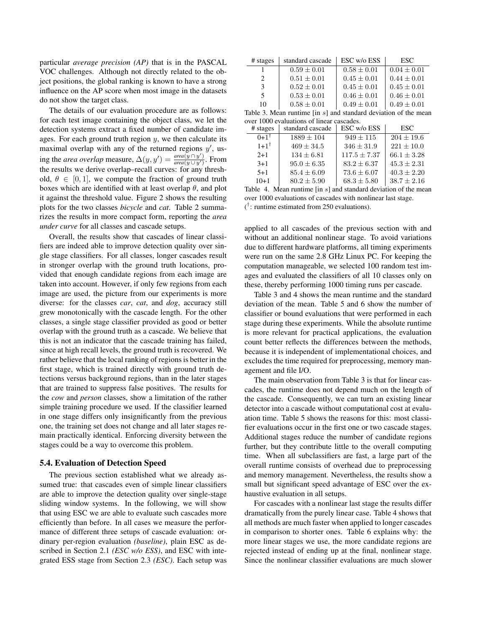particular *average precision (AP)* that is in the PASCAL VOC challenges. Although not directly related to the object positions, the global ranking is known to have a strong influence on the AP score when most image in the datasets do not show the target class.

The details of our evaluation procedure are as follows: for each test image containing the object class, we let the detection systems extract a fixed number of candidate images. For each ground truth region  $y$ , we then calculate its maximal overlap with any of the returned regions  $y'$ , using the *area overlap* measure,  $\Delta(y, y') = \frac{area(y \cap y')}{area(y \cup y')}$ . From the results we derive overlap–recall curves: for any threshold,  $\theta \in [0, 1]$ , we compute the fraction of ground truth boxes which are identified with at least overlap  $\theta$ , and plot it against the threshold value. Figure 2 shows the resulting plots for the two classes *bicycle* and *cat*. Table 2 summarizes the results in more compact form, reporting the *area under curve* for all classes and cascade setups.

Overall, the results show that cascades of linear classifiers are indeed able to improve detection quality over single stage classifiers. For all classes, longer cascades result in stronger overlap with the ground truth locations, provided that enough candidate regions from each image are taken into account. However, if only few regions from each image are used, the picture from our experiments is more diverse: for the classes *car*, *cat*, and *dog*, accuracy still grew monotonically with the cascade length. For the other classes, a single stage classifier provided as good or better overlap with the ground truth as a cascade. We believe that this is not an indicator that the cascade training has failed, since at high recall levels, the ground truth is recovered. We rather believe that the local ranking of regions is better in the first stage, which is trained directly with ground truth detections versus background regions, than in the later stages that are trained to suppress false positives. The results for the *cow* and *person* classes, show a limitation of the rather simple training procedure we used. If the classifier learned in one stage differs only insignificantly from the previous one, the training set does not change and all later stages remain practically identical. Enforcing diversity between the stages could be a way to overcome this problem.

## 5.4. Evaluation of Detection Speed

The previous section established what we already assumed true: that cascades even of simple linear classifiers are able to improve the detection quality over single-stage sliding window systems. In the following, we will show that using ESC we are able to evaluate such cascades more efficiently than before. In all cases we measure the performance of different three setups of cascade evaluation: ordinary per-region evaluation *(baseline)*, plain ESC as described in Section 2.1 *(ESC w/o ESS)*, and ESC with integrated ESS stage from Section 2.3 *(ESC)*. Each setup was

| # stages      | standard cascade | ESC w/o ESS     | ESC.            |
|---------------|------------------|-----------------|-----------------|
|               | $0.59 \pm 0.01$  | $0.58 \pm 0.01$ | $0.04 \pm 0.01$ |
| $\mathcal{L}$ | $0.51 \pm 0.01$  | $0.45 \pm 0.01$ | $0.44 \pm 0.01$ |
| 3             | $0.52 \pm 0.01$  | $0.45 \pm 0.01$ | $0.45 \pm 0.01$ |
| 5             | $0.53 \pm 0.01$  | $0.46 \pm 0.01$ | $0.46 \pm 0.01$ |
| 10            | $0.58 \pm 0.01$  | $0.49 \pm 0.01$ | $0.49 \pm 0.01$ |

Table 3. Mean runtime [in  $s$ ] and standard deviation of the mean over 1000 evaluations of linear cascades.

| # stages           | standard cascade | ESC w/o ESS      | ESC             |
|--------------------|------------------|------------------|-----------------|
| $0+1$ <sup>†</sup> | $1889 \pm 104$   | $949 + 115$      | $204 \pm 19.6$  |
| $1+1^{\dagger}$    | $469 \pm 34.5$   | $346 \pm 31.9$   | $221 \pm 10.0$  |
| $2+1$              | $134 \pm 6.81$   | $117.5 \pm 7.37$ | $66.1 \pm 3.28$ |
| $3 + 1$            | $95.0 \pm 6.35$  | $83.2 + 6.37$    | $45.3 \pm 2.31$ |
| $5 + 1$            | $85.4 \pm 6.09$  | $73.6 \pm 6.07$  | $40.3 \pm 2.20$ |
| $10+1$             | $80.2 \pm 5.90$  | $68.3 \pm 5.80$  | $38.7 + 2.16$   |

Table 4. Mean runtime [in s] and standard deviation of the mean over 1000 evaluations of cascades with nonlinear last stage. ( † : runtime estimated from 250 evaluations).

applied to all cascades of the previous section with and without an additional nonlinear stage. To avoid variations due to different hardware platforms, all timing experiments were run on the same 2.8 GHz Linux PC. For keeping the computation manageable, we selected 100 random test images and evaluated the classifiers of all 10 classes only on these, thereby performing 1000 timing runs per cascade.

Table 3 and 4 shows the mean runtime and the standard deviation of the mean. Table 5 and 6 show the number of classifier or bound evaluations that were performed in each stage during these experiments. While the absolute runtime is more relevant for practical applications, the evaluation count better reflects the differences between the methods, because it is independent of implementational choices, and excludes the time required for preprocessing, memory management and file I/O.

The main observation from Table 3 is that for linear cascades, the runtime does not depend much on the length of the cascade. Consequently, we can turn an existing linear detector into a cascade without computational cost at evaluation time. Table 5 shows the reasons for this: most classifier evaluations occur in the first one or two cascade stages. Additional stages reduce the number of candidate regions further, but they contribute little to the overall computing time. When all subclassifiers are fast, a large part of the overall runtime consists of overhead due to preprocessing and memory management. Nevertheless, the results show a small but significant speed advantage of ESC over the exhaustive evaluation in all setups.

For cascades with a nonlinear last stage the results differ dramatically from the purely linear case. Table 4 shows that all methods are much faster when applied to longer cascades in comparison to shorter ones. Table 6 explains why: the more linear stages we use, the more candidate regions are rejected instead of ending up at the final, nonlinear stage. Since the nonlinear classifier evaluations are much slower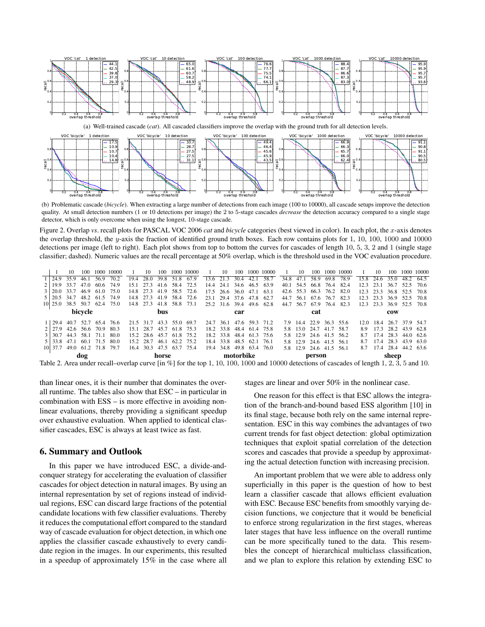

(b) Problematic cascade (*bicycle*). When extracting a large number of detections from each image (100 to 10000), all cascade setups improve the detection quality. At small detection numbers (1 or 10 detections per image) the 2 to 5-stage cascades *decrease* the detection accuracy compared to a single stage detector, which is only overcome when using the longest, 10-stage cascade.

Figure 2. Overlap *vs*. recall plots for PASCAL VOC 2006 *cat* and *bicycle* categories (best viewed in color). In each plot, the x-axis denotes the overlap threshold, the y-axis the fraction of identified ground truth boxes. Each row contains plots for 1, 10, 100, 1000 and 10000 detections per image (left to right). Each plot shows from top to bottom the curves for cascades of length 10, 5, 3, 2 and 1 (single stage classifier; dashed). Numeric values are the recall percentage at 50% overlap, which is the threshold used in the VOC evaluation procedure.

|                              | 10 | 100  |      | 1000 10000                   |           | 10                  | 100 |                          | 1000 10000 |           | 10             | 100            |                          | 1000 10000               |           | 10        | 100  |                         | 1000 10000     |      | 10   | 100  |                          | 1000 10000 |
|------------------------------|----|------|------|------------------------------|-----------|---------------------|-----|--------------------------|------------|-----------|----------------|----------------|--------------------------|--------------------------|-----------|-----------|------|-------------------------|----------------|------|------|------|--------------------------|------------|
| $1 \mid 24.9 \mid 35.9$      |    | 46.1 | 56.9 | 70.2                         | 19.4      | 28.0                |     | 39.8 51.8 67.9           |            | 13.6 21.3 |                | 30.4           | 42.1                     | 58.7                     | 34.8      | 47.1      | 58.9 | 69.8                    | 78.9           | 15.8 |      |      | 24.6 35.0 48.2 64.5      |            |
| 2   19.9 33.7 47.0           |    |      | 60.6 | 74.9                         |           | 15 1 27 3           |     | 41.6 58.4                | 72.5       | 14.4      |                | 24.1 34.6      | 46.5                     | 63.9                     |           | 40.1 54.5 |      | 66.8 76.4 82.4          |                | 12.3 | 23.1 | 36.7 | 52.5 70.6                |            |
|                              |    |      |      | 3   20.0 33.7 46.9 61.0 75.0 |           |                     |     | 14.8 27.3 41.9 58.5 72.6 |            |           | 17.5 26.6 36.0 |                | 47.1                     | 63.1                     | 42.6 55.3 |           |      |                         | 66.3 76.2 82.0 | 12.3 | 23.3 |      | 36.8 52.5 70.8           |            |
|                              |    |      |      | 5   20.5 34.7 48.2 61.5 74.9 |           | 14.8 27.3 41.9 58.4 |     |                          | 72.6       |           |                |                | 23.1 29.4 37.6 47.8 62.7 |                          | 44.7 56.1 |           |      | 67.6 76.7 82.3          |                | 12.3 |      |      | 23.3 36.9 52.5 70.8      |            |
|                              |    |      |      | 10 25.0 38.5 50.7 62.4 75.0  |           |                     |     | 14.8 27.3 41.8 58.8 73.1 |            |           |                | 25.2 31.6 39.4 |                          | 49.6 62.8                | 44.7 56.7 |           |      | 67.9 76.4 82.3          |                | 12.3 |      |      | 23.3 36.9 52.5 70.8      |            |
| bicvcle                      |    |      |      |                              |           |                     | bus |                          |            |           |                | car            |                          |                          |           |           | cat  |                         |                |      |      | cow  |                          |            |
|                              |    |      |      | 1   29.4 40.7 52.7 65.4 76.6 |           |                     |     | 21.5 31.7 43.3 55.0 69.7 |            |           |                |                | 24.7 36.1 47.6 59.3 71.2 |                          |           |           |      | 7.9 14.4 22.9 36.3 55.6 |                |      |      |      | 12.0 18.4 26.7 37.9 54.7 |            |
| 2 2 27.9 42.6 56.6 70.9 80.3 |    |      |      |                              |           |                     |     | 15.1 28.7 45.7 61.8 75.3 |            |           |                |                | 18.2 33.8 48.4 61.4 75.8 |                          |           |           |      | 5.8 13.0 24.7 41.7 58.7 |                | 8.9  |      |      | 17.3 28.2 43.9 62.8      |            |
| 3 3 3 3 44.3 5 8.1 7 1.1     |    |      |      | 80.0                         |           |                     |     | 15.2 28.6 45.7 61.8 75.2 |            |           |                |                | 18.2 33.8 48.4 61.3 75.6 |                          |           |           |      | 5.8 12.9 24.6 41.5 56.2 |                | 8.7  |      |      | 17.4 28.3 44.0 62.6      |            |
|                              |    |      |      | 5 33.8 47.1 60.1 71.5 80.0   |           |                     |     | 15.2 28.7 46.1 62.2 75.2 |            |           |                |                | 18.4 33.8 48.5 62.1      | 76.1                     |           |           |      | 5.8 12.9 24.6 41.5 56.1 |                | 8.7  |      |      | 17.4 28.3 43.9 63.0      |            |
| 10 37.7                      |    |      |      | 49.0 61.2 71.8 79.7          |           |                     |     | 16.4 30.3 47.5 63.7 75.4 |            |           |                |                |                          | 19.4 34.8 49.8 63.4 76.0 |           |           |      | 5.8 12.9 24.6 41.5 56.1 |                | 8.7  |      |      | 17.4 28.4 44.2 63.6      |            |
| horse<br>dog                 |    |      |      |                              | motorbike |                     |     |                          |            | person    |                |                |                          | sheep                    |           |           |      |                         |                |      |      |      |                          |            |
|                              |    |      |      |                              |           |                     |     |                          |            |           |                |                |                          |                          |           |           |      |                         |                |      |      |      |                          |            |

Table 2. Area under recall–overlap curve  $\left| \text{in } \%\right|$  for the top 1, 10, 100, 1000 and 10000 detections of cascades of length 1, 2, 3, 5 and 10.

than linear ones, it is their number that dominates the overall runtime. The tables also show that ESC – in particular in combination with ESS – is more effective in avoiding nonlinear evaluations, thereby providing a significant speedup over exhaustive evaluation. When applied to identical classifier cascades, ESC is always at least twice as fast.

## 6. Summary and Outlook

In this paper we have introduced ESC, a divide-andconquer strategy for accelerating the evaluation of classifier cascades for object detection in natural images. By using an internal representation by set of regions instead of individual regions, ESC can discard large fractions of the potential candidate locations with few classifier evaluations. Thereby it reduces the computational effort compared to the standard way of cascade evaluation for object detection, in which one applies the classifier cascade exhaustively to every candidate region in the images. In our experiments, this resulted in a speedup of approximately 15% in the case where all

stages are linear and over 50% in the nonlinear case.

One reason for this effect is that ESC allows the integration of the branch-and-bound based ESS algorithm [10] in its final stage, because both rely on the same internal representation. ESC in this way combines the advantages of two current trends for fast object detection: global optimization techniques that exploit spatial correlation of the detection scores and cascades that provide a speedup by approximating the actual detection function with increasing precision.

An important problem that we were able to address only superficially in this paper is the question of how to best learn a classifier cascade that allows efficient evaluation with ESC. Because ESC benefits from smoothly varying decision functions, we conjecture that it would be beneficial to enforce strong regularization in the first stages, whereas later stages that have less influence on the overall runtime can be more specifically tuned to the data. This resembles the concept of hierarchical multiclass classification, and we plan to explore this relation by extending ESC to